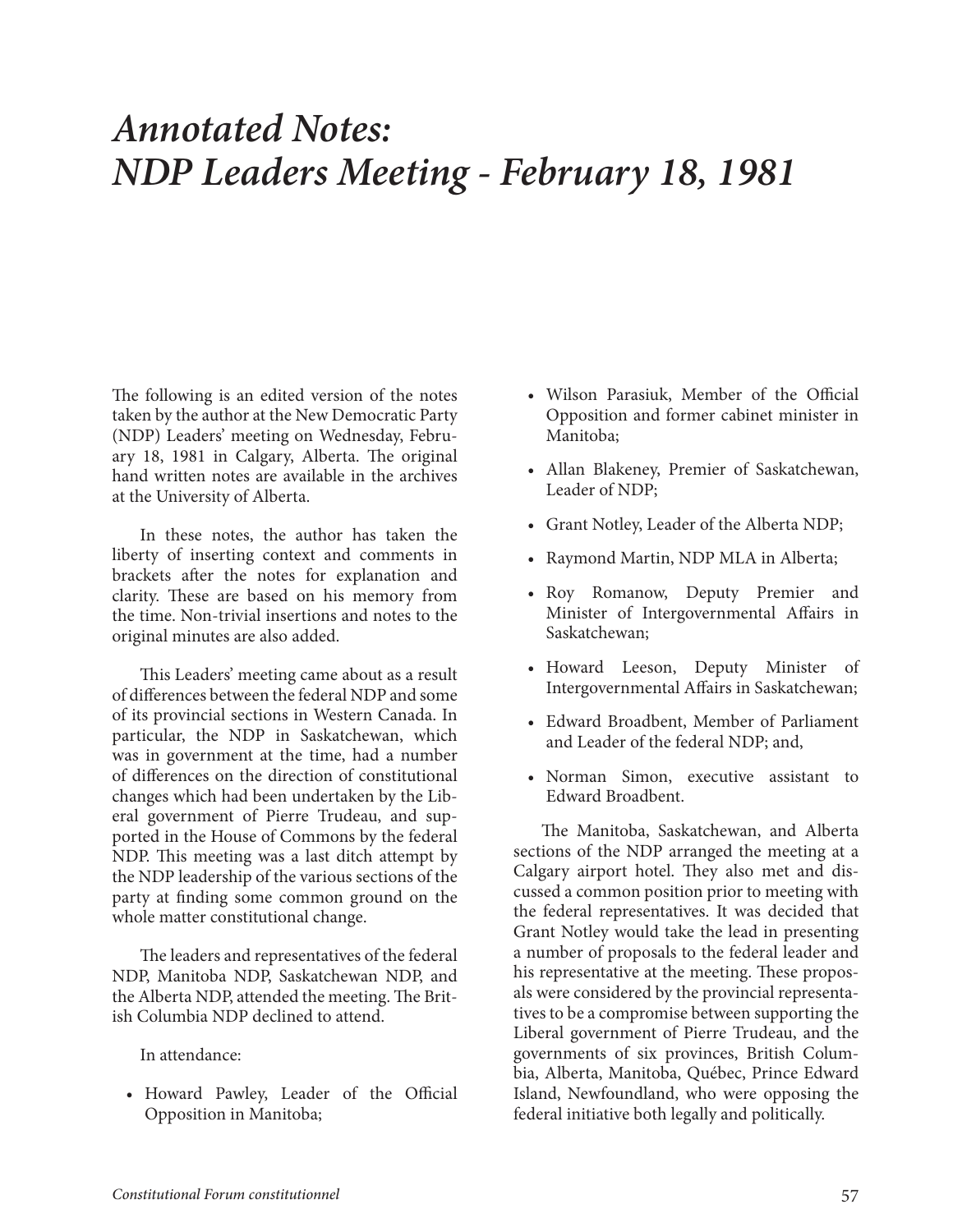# *Annotated Notes: NDP Leaders Meeting - February 18, 1981*

The following is an edited version of the notes taken by the author at the New Democratic Party (NDP) Leaders' meeting on Wednesday, February 18, 1981 in Calgary, Alberta. The original hand written notes are available in the archives at the University of Alberta.

In these notes, the author has taken the liberty of inserting context and comments in brackets after the notes for explanation and clarity. These are based on his memory from the time. Non-trivial insertions and notes to the original minutes are also added.

This Leaders' meeting came about as a result of differences between the federal NDP and some of its provincial sections in Western Canada. In particular, the NDP in Saskatchewan, which was in government at the time, had a number of differences on the direction of constitutional changes which had been undertaken by the Liberal government of Pierre Trudeau, and supported in the House of Commons by the federal NDP. This meeting was a last ditch attempt by the NDP leadership of the various sections of the party at finding some common ground on the whole matter constitutional change.

The leaders and representatives of the federal NDP, Manitoba NDP, Saskatchewan NDP, and the Alberta NDP, attended the meeting. The British Columbia NDP declined to attend.

In attendance:

• Howard Pawley, Leader of the Official Opposition in Manitoba;

- Wilson Parasiuk, Member of the Official Opposition and former cabinet minister in Manitoba;
- Allan Blakeney, Premier of Saskatchewan, Leader of NDP;
- Grant Notley, Leader of the Alberta NDP;
- Raymond Martin, NDP MLA in Alberta;
- Roy Romanow, Deputy Premier and Minister of Intergovernmental Affairs in Saskatchewan;
- Howard Leeson, Deputy Minister of Intergovernmental Affairs in Saskatchewan;
- Edward Broadbent, Member of Parliament and Leader of the federal NDP; and,
- Norman Simon, executive assistant to Edward Broadbent.

The Manitoba, Saskatchewan, and Alberta sections of the NDP arranged the meeting at a Calgary airport hotel. They also met and discussed a common position prior to meeting with the federal representatives. It was decided that Grant Notley would take the lead in presenting a number of proposals to the federal leader and his representative at the meeting. These proposals were considered by the provincial representatives to be a compromise between supporting the Liberal government of Pierre Trudeau, and the governments of six provinces, British Columbia, Alberta, Manitoba, Québec, Prince Edward Island, Newfoundland, who were opposing the federal initiative both legally and politically.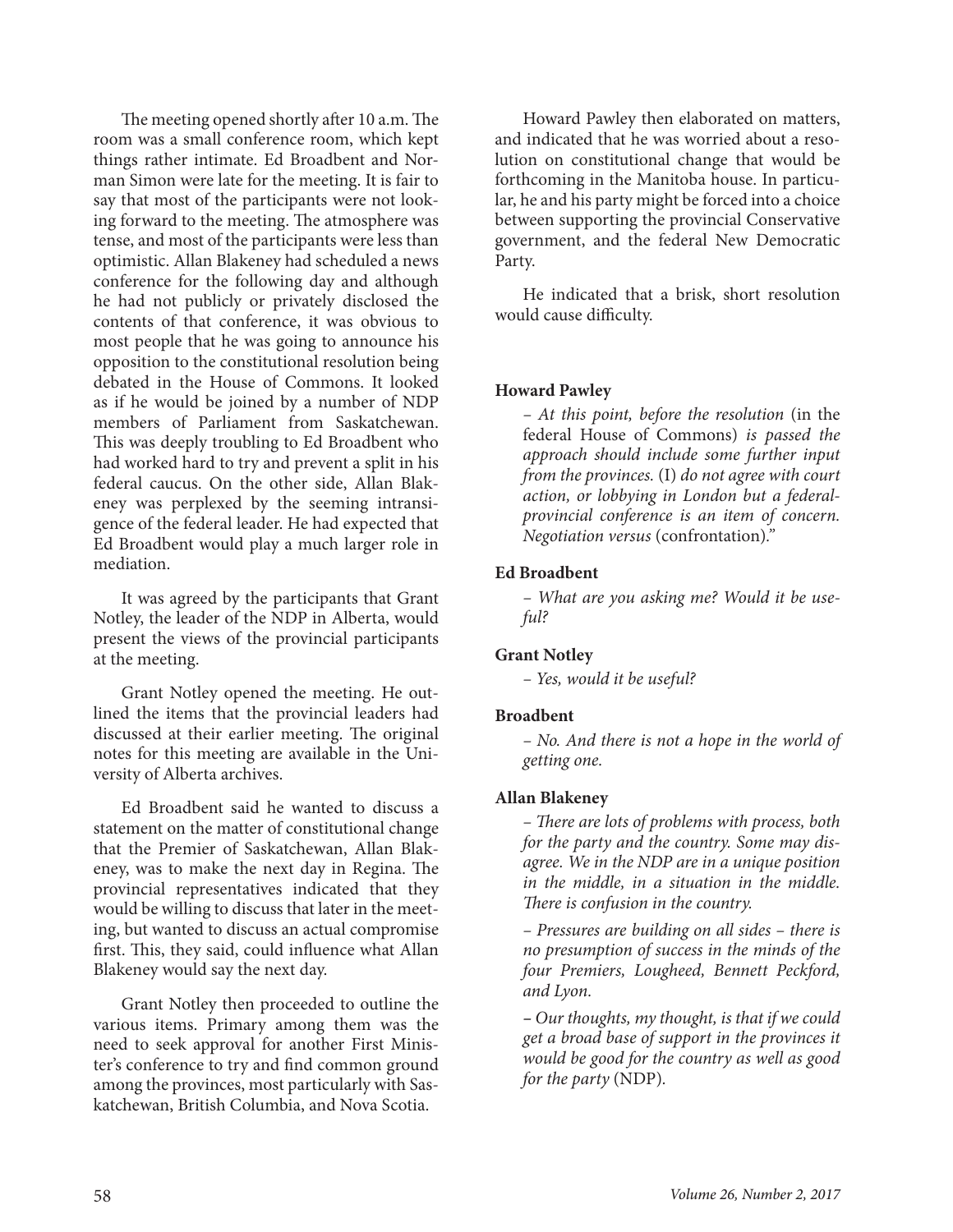The meeting opened shortly after 10 a.m. The room was a small conference room, which kept things rather intimate. Ed Broadbent and Norman Simon were late for the meeting. It is fair to say that most of the participants were not looking forward to the meeting. The atmosphere was tense, and most of the participants were less than optimistic. Allan Blakeney had scheduled a news conference for the following day and although he had not publicly or privately disclosed the contents of that conference, it was obvious to most people that he was going to announce his opposition to the constitutional resolution being debated in the House of Commons. It looked as if he would be joined by a number of NDP members of Parliament from Saskatchewan. This was deeply troubling to Ed Broadbent who had worked hard to try and prevent a split in his federal caucus. On the other side, Allan Blakeney was perplexed by the seeming intransigence of the federal leader. He had expected that Ed Broadbent would play a much larger role in mediation.

It was agreed by the participants that Grant Notley, the leader of the NDP in Alberta, would present the views of the provincial participants at the meeting.

Grant Notley opened the meeting. He outlined the items that the provincial leaders had discussed at their earlier meeting. The original notes for this meeting are available in the University of Alberta archives.

Ed Broadbent said he wanted to discuss a statement on the matter of constitutional change that the Premier of Saskatchewan, Allan Blakeney, was to make the next day in Regina. The provincial representatives indicated that they would be willing to discuss that later in the meeting, but wanted to discuss an actual compromise first. This, they said, could influence what Allan Blakeney would say the next day.

Grant Notley then proceeded to outline the various items. Primary among them was the need to seek approval for another First Minister's conference to try and find common ground among the provinces, most particularly with Saskatchewan, British Columbia, and Nova Scotia.

Howard Pawley then elaborated on matters, and indicated that he was worried about a resolution on constitutional change that would be forthcoming in the Manitoba house. In particular, he and his party might be forced into a choice between supporting the provincial Conservative government, and the federal New Democratic Party.

He indicated that a brisk, short resolution would cause difficulty.

# **Howard Pawley**

*– At this point, before the resolution* (in the federal House of Commons) *is passed the approach should include some further input from the provinces.* (I) *do not agree with court action, or lobbying in London but a federalprovincial conference is an item of concern. Negotiation versus* (confrontation)*."*

# **Ed Broadbent**

*– What are you asking me? Would it be useful?*

# **Grant Notley**

*– Yes, would it be useful?*

### **Broadbent**

*– No. And there is not a hope in the world of getting one.*

### **Allan Blakeney**

*– There are lots of problems with process, both for the party and the country. Some may disagree. We in the NDP are in a unique position in the middle, in a situation in the middle. There is confusion in the country.*

*– Pressures are building on all sides – there is no presumption of success in the minds of the four Premiers, Lougheed, Bennett Peckford, and Lyon.*

*– Our thoughts, my thought, is that if we could get a broad base of support in the provinces it would be good for the country as well as good for the party* (NDP)*.*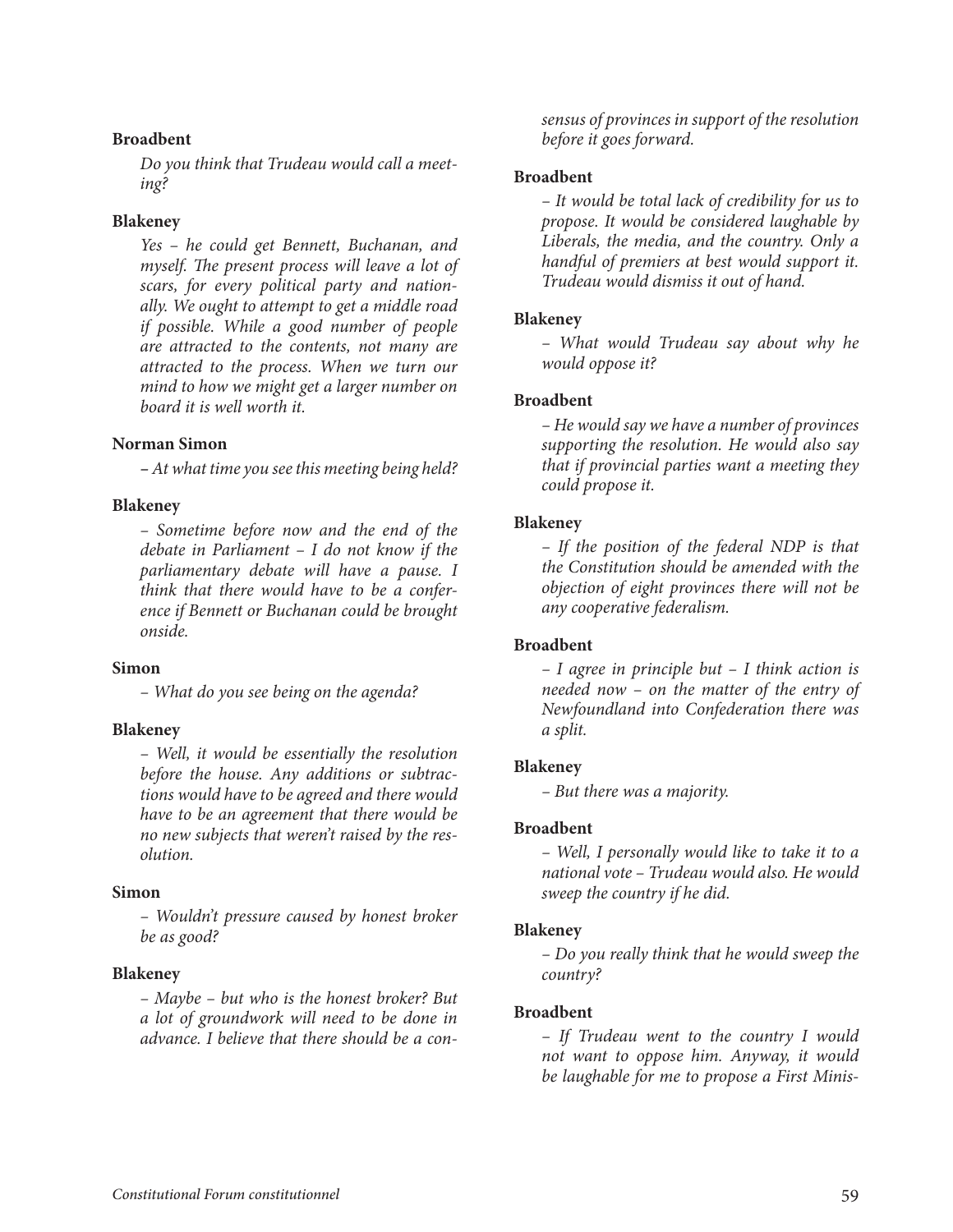## **Broadbent**

*Do you think that Trudeau would call a meeting?*

## **Blakeney**

*Yes – he could get Bennett, Buchanan, and myself. The present process will leave a lot of scars, for every political party and nationally. We ought to attempt to get a middle road if possible. While a good number of people are attracted to the contents, not many are attracted to the process. When we turn our mind to how we might get a larger number on board it is well worth it.*

# **Norman Simon**

*– At what time you see this meeting being held?*

## **Blakeney**

*– Sometime before now and the end of the debate in Parliament – I do not know if the parliamentary debate will have a pause. I think that there would have to be a conference if Bennett or Buchanan could be brought onside.*

### **Simon**

*– What do you see being on the agenda?*

# **Blakeney**

*– Well, it would be essentially the resolution before the house. Any additions or subtractions would have to be agreed and there would have to be an agreement that there would be no new subjects that weren't raised by the resolution.*

### **Simon**

*– Wouldn't pressure caused by honest broker be as good?*

### **Blakeney**

*– Maybe – but who is the honest broker? But a lot of groundwork will need to be done in advance. I believe that there should be a con-* *sensus of provinces in support of the resolution before it goes forward.*

## **Broadbent**

*– It would be total lack of credibility for us to propose. It would be considered laughable by Liberals, the media, and the country. Only a handful of premiers at best would support it. Trudeau would dismiss it out of hand.*

## **Blakeney**

*– What would Trudeau say about why he would oppose it?*

### **Broadbent**

*– He would say we have a number of provinces supporting the resolution. He would also say that if provincial parties want a meeting they could propose it.*

## **Blakeney**

*– If the position of the federal NDP is that the Constitution should be amended with the objection of eight provinces there will not be any cooperative federalism.*

### **Broadbent**

*– I agree in principle but – I think action is needed now – on the matter of the entry of Newfoundland into Confederation there was a split.*

### **Blakeney**

*– But there was a majority.*

## **Broadbent**

*– Well, I personally would like to take it to a national vote – Trudeau would also. He would sweep the country if he did.*

### **Blakeney**

*– Do you really think that he would sweep the country?*

## **Broadbent**

*– If Trudeau went to the country I would not want to oppose him. Anyway, it would be laughable for me to propose a First Minis-*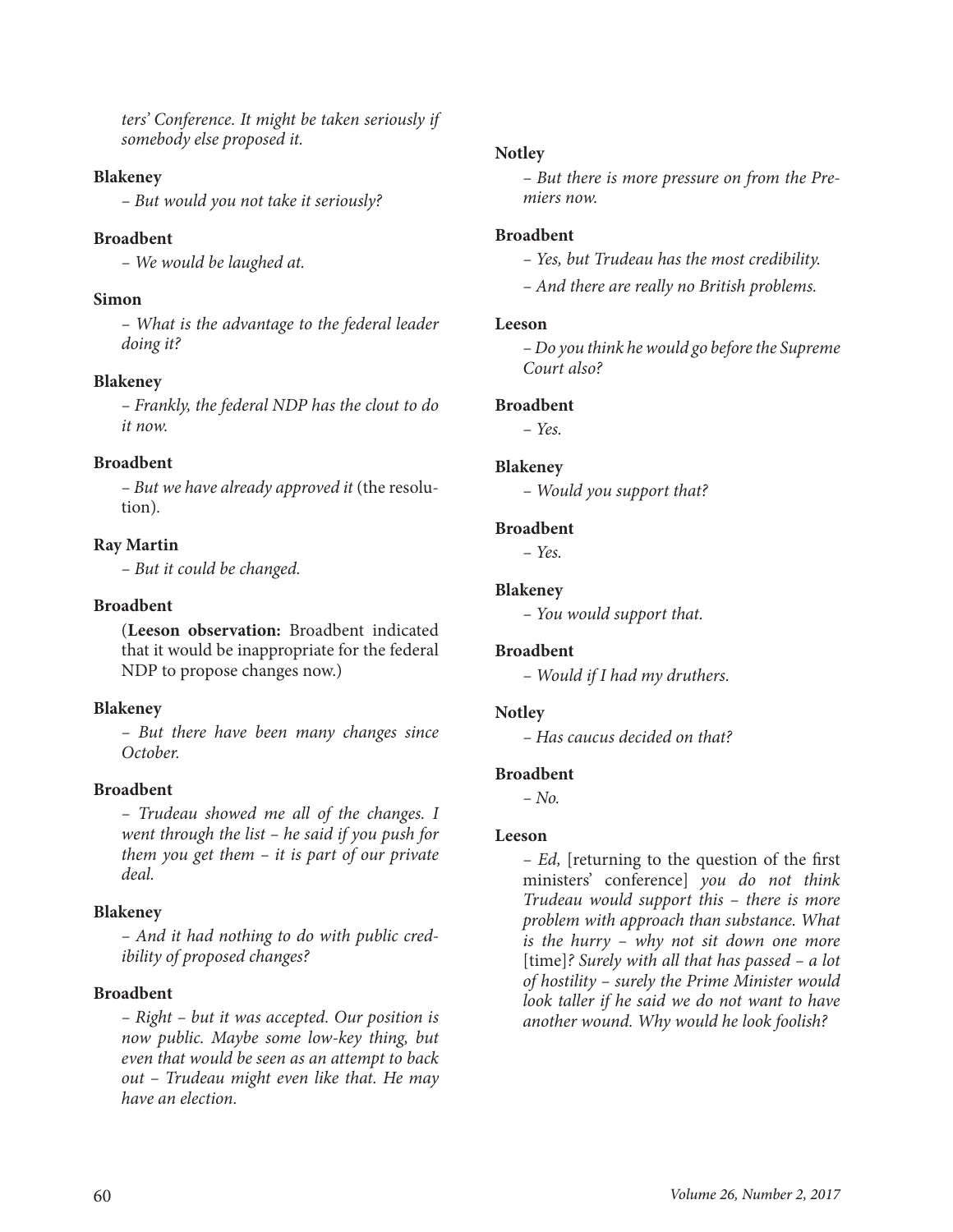*ters' Conference. It might be taken seriously if somebody else proposed it.*

# **Blakeney**

*– But would you not take it seriously?*

# **Broadbent**

*– We would be laughed at.*

# **Simon**

*– What is the advantage to the federal leader doing it?*

# **Blakeney**

*– Frankly, the federal NDP has the clout to do it now.*

# **Broadbent**

*– But we have already approved it* (the resolution)*.*

# **Ray Martin**

*– But it could be changed.*

# **Broadbent**

(**Leeson observation:** Broadbent indicated that it would be inappropriate for the federal NDP to propose changes now.)

# **Blakeney**

*– But there have been many changes since October.*

# **Broadbent**

*– Trudeau showed me all of the changes. I went through the list – he said if you push for them you get them – it is part of our private deal.*

# **Blakeney**

*– And it had nothing to do with public credibility of proposed changes?*

# **Broadbent**

*– Right – but it was accepted. Our position is now public. Maybe some low-key thing, but even that would be seen as an attempt to back out – Trudeau might even like that. He may have an election.*

# **Notley**

*– But there is more pressure on from the Premiers now.*

# **Broadbent**

- *Yes, but Trudeau has the most credibility.*
- *And there are really no British problems.*

## **Leeson**

*– Do you think he would go before the Supreme Court also?*

## **Broadbent**

*– Yes.*

# **Blakeney**

*– Would you support that?*

# **Broadbent**

*– Yes.*

# **Blakeney**

*– You would support that.*

# **Broadbent**

*– Would if I had my druthers.*

# **Notley**

*– Has caucus decided on that?*

# **Broadbent**

*– No.*

# **Leeson**

*– Ed,* [returning to the question of the first ministers' conference] *you do not think Trudeau would support this – there is more problem with approach than substance. What is the hurry – why not sit down one more* [time]*? Surely with all that has passed – a lot of hostility – surely the Prime Minister would look taller if he said we do not want to have another wound. Why would he look foolish?*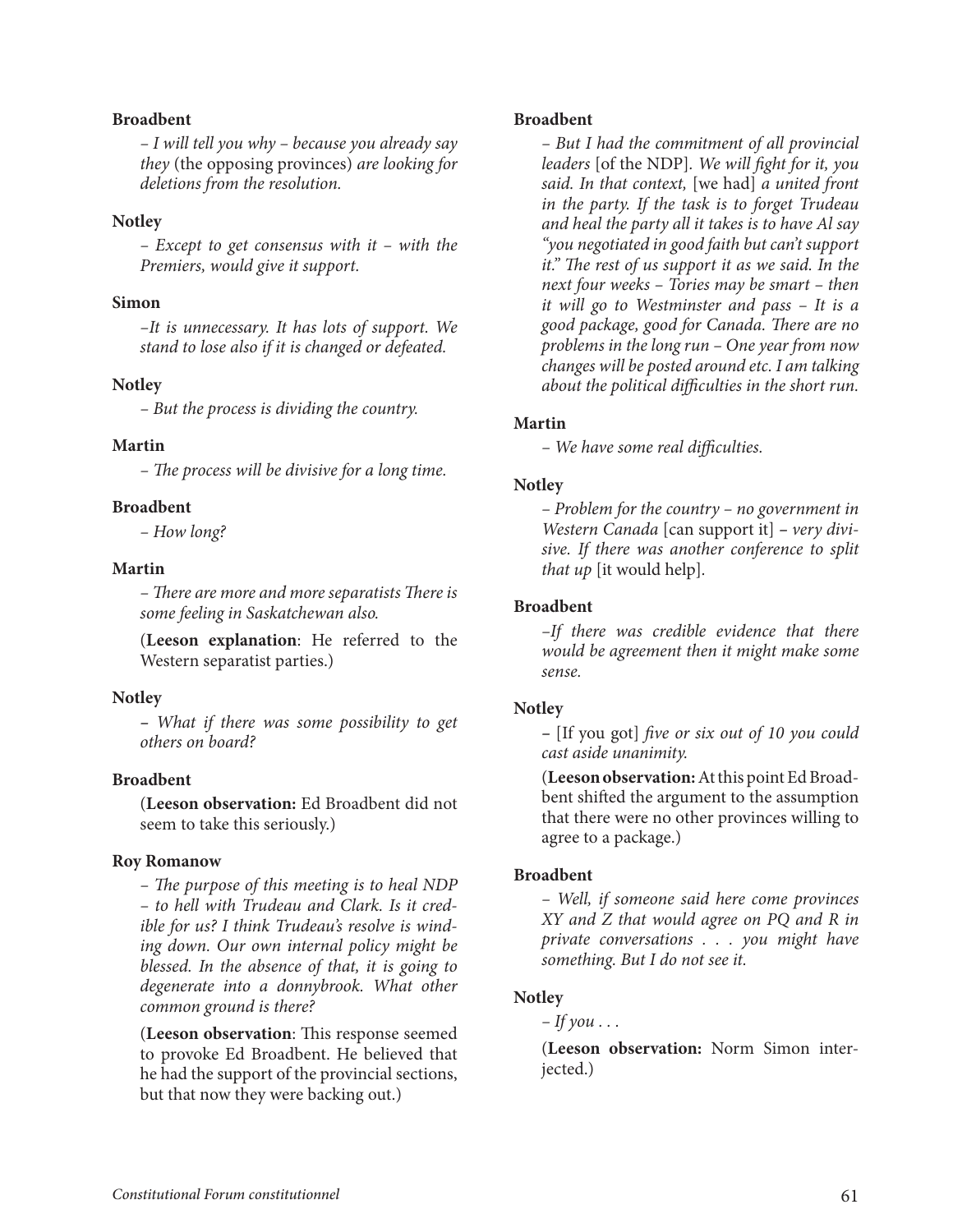# **Broadbent**

*– I will tell you why – because you already say they* (the opposing provinces) *are looking for deletions from the resolution.*

# **Notley**

*– Except to get consensus with it – with the Premiers, would give it support.*

## **Simon**

*–It is unnecessary. It has lots of support. We stand to lose also if it is changed or defeated.*

## **Notley**

*– But the process is dividing the country.*

## **Martin**

*– The process will be divisive for a long time.*

## **Broadbent**

*– How long?*

# **Martin**

*– There are more and more separatists There is some feeling in Saskatchewan also.*

(**Leeson explanation**: He referred to the Western separatist parties.)

### **Notley**

*– What if there was some possibility to get others on board?*

## **Broadbent**

(**Leeson observation:** Ed Broadbent did not seem to take this seriously.)

### **Roy Romanow**

*– The purpose of this meeting is to heal NDP – to hell with Trudeau and Clark. Is it credible for us? I think Trudeau's resolve is winding down. Our own internal policy might be blessed. In the absence of that, it is going to degenerate into a donnybrook. What other common ground is there?*

(**Leeson observation**: This response seemed to provoke Ed Broadbent. He believed that he had the support of the provincial sections, but that now they were backing out.)

## **Broadbent**

*– But I had the commitment of all provincial leaders* [of the NDP]*. We will fight for it, you said. In that context,* [we had] *a united front in the party. If the task is to forget Trudeau and heal the party all it takes is to have Al say "you negotiated in good faith but can't support it." The rest of us support it as we said. In the next four weeks – Tories may be smart – then it will go to Westminster and pass – It is a good package, good for Canada. There are no problems in the long run – One year from now changes will be posted around etc. I am talking about the political difficulties in the short run.*

## **Martin**

*– We have some real difficulties.*

## **Notley**

*– Problem for the country – no government in Western Canada* [can support it] *– very divisive. If there was another conference to split that up* [it would help]*.*

# **Broadbent**

*–If there was credible evidence that there would be agreement then it might make some sense.*

### **Notley**

*–* [If you got] *five or six out of 10 you could cast aside unanimity.*

(**Leeson observation:** At this point Ed Broadbent shifted the argument to the assumption that there were no other provinces willing to agree to a package.)

## **Broadbent**

*– Well, if someone said here come provinces XY and Z that would agree on PQ and R in private conversations . . . you might have something. But I do not see it.*

# **Notley**

*– If you . . .*

(**Leeson observation:** Norm Simon interjected.)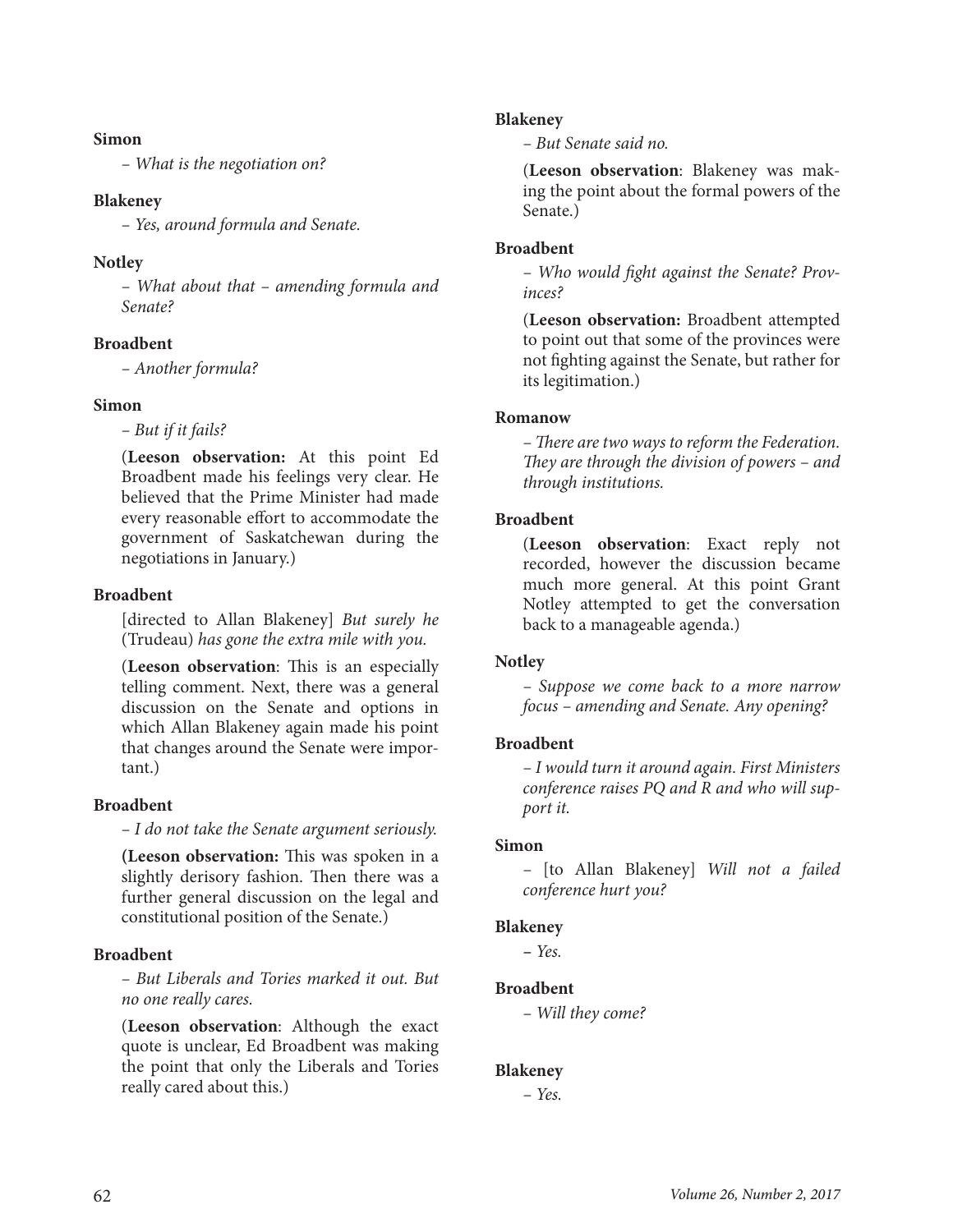## **Simon**

*– What is the negotiation on?*

## **Blakeney**

*– Yes, around formula and Senate.*

# **Notley**

*– What about that – amending formula and Senate?*

# **Broadbent**

*– Another formula?*

# **Simon**

*– But if it fails?*

(**Leeson observation:** At this point Ed Broadbent made his feelings very clear. He believed that the Prime Minister had made every reasonable effort to accommodate the government of Saskatchewan during the negotiations in January.)

# **Broadbent**

[directed to Allan Blakeney] *But surely he*  (Trudeau) *has gone the extra mile with you.*

(**Leeson observation**: This is an especially telling comment. Next, there was a general discussion on the Senate and options in which Allan Blakeney again made his point that changes around the Senate were important.)

# **Broadbent**

*– I do not take the Senate argument seriously.*

**(Leeson observation:** This was spoken in a slightly derisory fashion. Then there was a further general discussion on the legal and constitutional position of the Senate.)

# **Broadbent**

*– But Liberals and Tories marked it out. But no one really cares.*

(**Leeson observation**: Although the exact quote is unclear, Ed Broadbent was making the point that only the Liberals and Tories really cared about this.)

# **Blakeney**

*– But Senate said no.* 

(**Leeson observation**: Blakeney was making the point about the formal powers of the Senate.)

## **Broadbent**

*– Who would fight against the Senate? Provinces?*

(**Leeson observation:** Broadbent attempted to point out that some of the provinces were not fighting against the Senate, but rather for its legitimation.)

## **Romanow**

*– There are two ways to reform the Federation. They are through the division of powers – and through institutions.*

## **Broadbent**

(**Leeson observation**: Exact reply not recorded, however the discussion became much more general. At this point Grant Notley attempted to get the conversation back to a manageable agenda.)

# **Notley**

*– Suppose we come back to a more narrow focus – amending and Senate. Any opening?*

# **Broadbent**

*– I would turn it around again. First Ministers conference raises PQ and R and who will support it.*

# **Simon**

*–* [to Allan Blakeney] *Will not a failed conference hurt you?*

# **Blakeney**

*– Yes.*

# **Broadbent**

*– Will they come?*

# **Blakeney**

*– Yes.*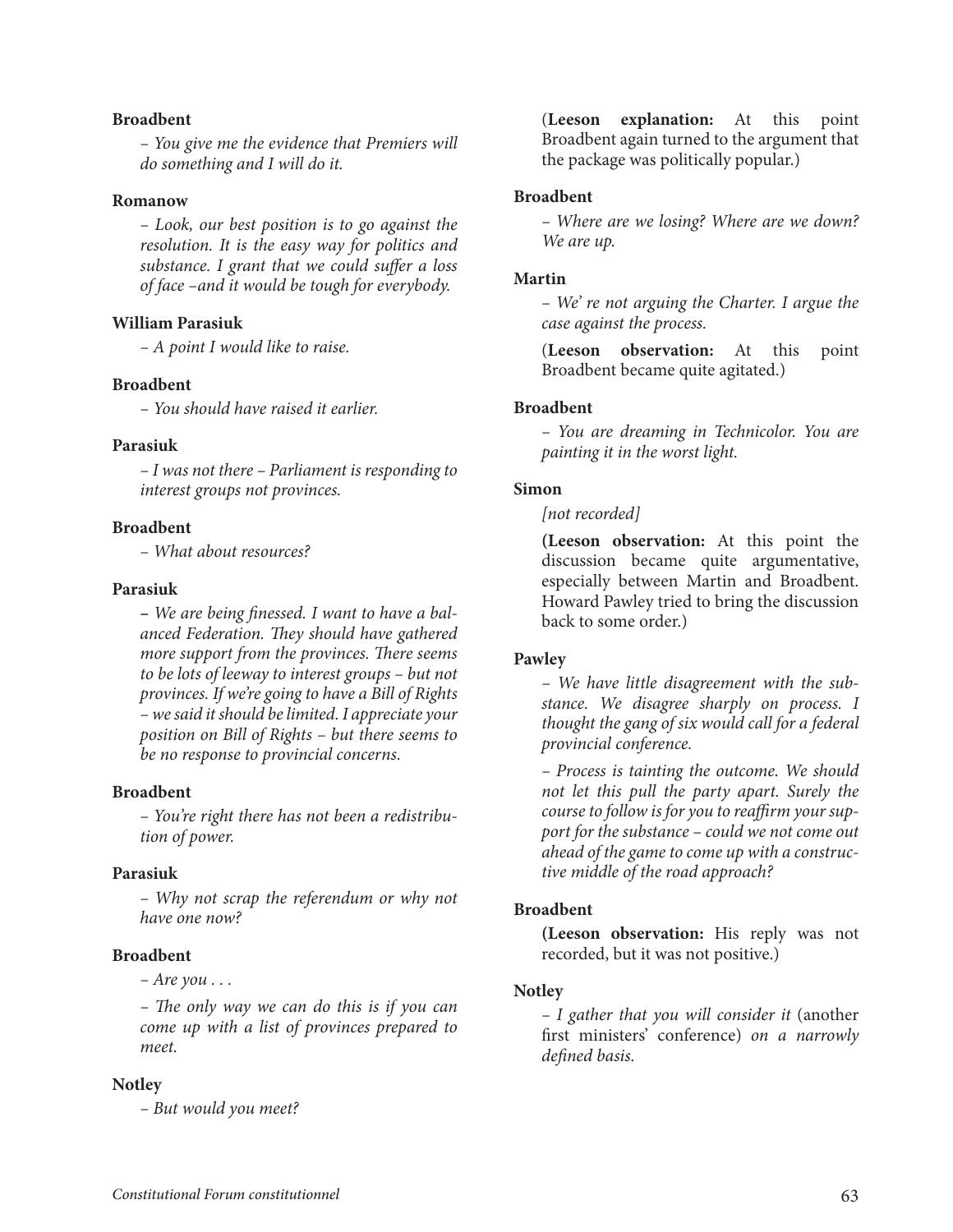## **Broadbent**

*– You give me the evidence that Premiers will do something and I will do it.*

#### **Romanow**

*– Look, our best position is to go against the resolution. It is the easy way for politics and substance. I grant that we could suffer a loss of face –and it would be tough for everybody.*

#### **William Parasiuk**

*– A point I would like to raise.*

## **Broadbent**

*– You should have raised it earlier.*

#### **Parasiuk**

*– I was not there – Parliament is responding to interest groups not provinces.*

## **Broadbent**

*– What about resources?*

## **Parasiuk**

**–** *We are being finessed. I want to have a balanced Federation. They should have gathered more support from the provinces. There seems to be lots of leeway to interest groups – but not provinces. If we're going to have a Bill of Rights – we said it should be limited. I appreciate your position on Bill of Rights – but there seems to be no response to provincial concerns.*

#### **Broadbent**

*– You're right there has not been a redistribution of power.*

#### **Parasiuk**

*– Why not scrap the referendum or why not have one now?*

#### **Broadbent**

*– Are you . . .*

*– The only way we can do this is if you can come up with a list of provinces prepared to meet.*

### **Notley**

*– But would you meet?*

(**Leeson explanation:** At this point Broadbent again turned to the argument that the package was politically popular.)

#### **Broadbent**

*– Where are we losing? Where are we down? We are up.*

#### **Martin**

*– We' re not arguing the Charter. I argue the case against the process.*

(**Leeson observation:** At this point Broadbent became quite agitated.)

## **Broadbent**

*– You are dreaming in Technicolor. You are painting it in the worst light.*

#### **Simon**

*[not recorded]*

**(Leeson observation:** At this point the discussion became quite argumentative, especially between Martin and Broadbent. Howard Pawley tried to bring the discussion back to some order.)

### **Pawley**

*– We have little disagreement with the substance. We disagree sharply on process. I thought the gang of six would call for a federal provincial conference.* 

*– Process is tainting the outcome. We should not let this pull the party apart. Surely the course to follow is for you to reaffirm your support for the substance – could we not come out ahead of the game to come up with a constructive middle of the road approach?*

#### **Broadbent**

**(Leeson observation:** His reply was not recorded, but it was not positive.)

## **Notley**

*– I gather that you will consider it* (another first ministers' conference) *on a narrowly defined basis.*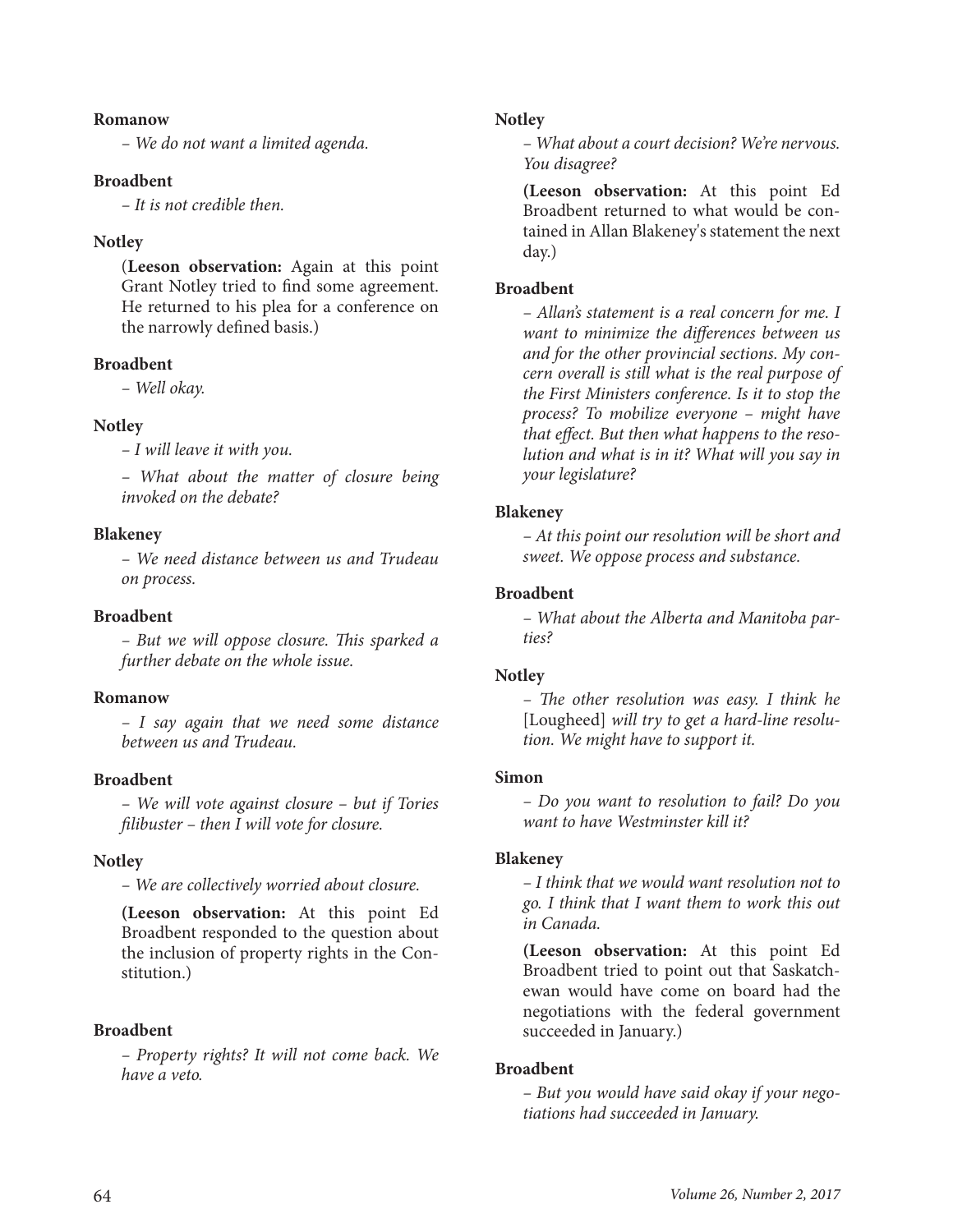## **Romanow**

*– We do not want a limited agenda.*

#### **Broadbent**

*– It is not credible then.*

#### **Notley**

(**Leeson observation:** Again at this point Grant Notley tried to find some agreement. He returned to his plea for a conference on the narrowly defined basis.)

#### **Broadbent**

*– Well okay.* 

## **Notley**

*– I will leave it with you.*

*– What about the matter of closure being invoked on the debate?*

## **Blakeney**

*– We need distance between us and Trudeau on process.*

#### **Broadbent**

*– But we will oppose closure. This sparked a further debate on the whole issue.*

#### **Romanow**

*– I say again that we need some distance between us and Trudeau.*

# **Broadbent**

*– We will vote against closure – but if Tories filibuster – then I will vote for closure.*

#### **Notley**

*– We are collectively worried about closure.*

**(Leeson observation:** At this point Ed Broadbent responded to the question about the inclusion of property rights in the Constitution.)

# **Broadbent**

*– Property rights? It will not come back. We have a veto.*

#### **Notley**

*– What about a court decision? We're nervous. You disagree?*

**(Leeson observation:** At this point Ed Broadbent returned to what would be contained in Allan Blakeney's statement the next day.)

## **Broadbent**

*– Allan's statement is a real concern for me. I want to minimize the differences between us and for the other provincial sections. My concern overall is still what is the real purpose of the First Ministers conference. Is it to stop the process? To mobilize everyone – might have that effect. But then what happens to the resolution and what is in it? What will you say in your legislature?*

## **Blakeney**

*– At this point our resolution will be short and sweet. We oppose process and substance.*

## **Broadbent**

*– What about the Alberta and Manitoba parties?*

### **Notley**

*– The other resolution was easy. I think he*  [Lougheed] *will try to get a hard-line resolution. We might have to support it.*

#### **Simon**

*– Do you want to resolution to fail? Do you want to have Westminster kill it?*

#### **Blakeney**

*– I think that we would want resolution not to go. I think that I want them to work this out in Canada.*

**(Leeson observation:** At this point Ed Broadbent tried to point out that Saskatchewan would have come on board had the negotiations with the federal government succeeded in January.)

#### **Broadbent**

*– But you would have said okay if your negotiations had succeeded in January.*